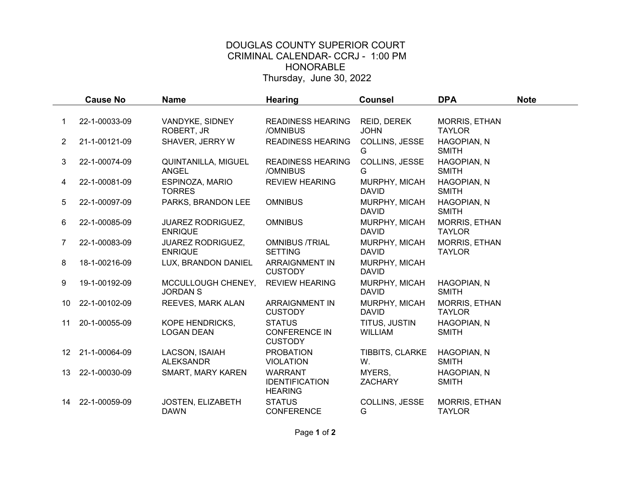## DOUGLAS COUNTY SUPERIOR COURT CRIMINAL CALENDAR- CCRJ - 1:00 PM HONORABLE Thursday, June 30, 2022

|                 | <b>Cause No</b> | <b>Name</b>                                | <b>Hearing</b>                                            | <b>Counsel</b>                  | <b>DPA</b>                            | <b>Note</b> |
|-----------------|-----------------|--------------------------------------------|-----------------------------------------------------------|---------------------------------|---------------------------------------|-------------|
|                 |                 |                                            |                                                           |                                 |                                       |             |
|                 | 22-1-00033-09   | VANDYKE, SIDNEY<br>ROBERT, JR              | <b>READINESS HEARING</b><br>/OMNIBUS                      | REID, DEREK<br><b>JOHN</b>      | MORRIS, ETHAN<br><b>TAYLOR</b>        |             |
| $\overline{2}$  | 21-1-00121-09   | SHAVER, JERRY W                            | <b>READINESS HEARING</b>                                  | COLLINS, JESSE<br>G             | HAGOPIAN, N<br><b>SMITH</b>           |             |
| 3               | 22-1-00074-09   | QUINTANILLA, MIGUEL<br>ANGEL               | <b>READINESS HEARING</b><br>/OMNIBUS                      | COLLINS, JESSE<br>G             | HAGOPIAN, N<br><b>SMITH</b>           |             |
| 4               | 22-1-00081-09   | ESPINOZA, MARIO<br><b>TORRES</b>           | <b>REVIEW HEARING</b>                                     | MURPHY, MICAH<br><b>DAVID</b>   | HAGOPIAN, N<br><b>SMITH</b>           |             |
| 5.              | 22-1-00097-09   | PARKS, BRANDON LEE                         | <b>OMNIBUS</b>                                            | MURPHY, MICAH<br><b>DAVID</b>   | <b>HAGOPIAN, N</b><br><b>SMITH</b>    |             |
| 6               | 22-1-00085-09   | <b>JUAREZ RODRIGUEZ,</b><br><b>ENRIQUE</b> | <b>OMNIBUS</b>                                            | MURPHY, MICAH<br><b>DAVID</b>   | <b>MORRIS, ETHAN</b><br><b>TAYLOR</b> |             |
| 7               | 22-1-00083-09   | <b>JUAREZ RODRIGUEZ,</b><br><b>ENRIQUE</b> | <b>OMNIBUS /TRIAL</b><br><b>SETTING</b>                   | MURPHY, MICAH<br><b>DAVID</b>   | <b>MORRIS, ETHAN</b><br><b>TAYLOR</b> |             |
| 8               | 18-1-00216-09   | LUX, BRANDON DANIEL                        | <b>ARRAIGNMENT IN</b><br><b>CUSTODY</b>                   | MURPHY, MICAH<br><b>DAVID</b>   |                                       |             |
| 9               | 19-1-00192-09   | MCCULLOUGH CHENEY,<br><b>JORDAN S</b>      | <b>REVIEW HEARING</b>                                     | MURPHY, MICAH<br><b>DAVID</b>   | HAGOPIAN, N<br><b>SMITH</b>           |             |
| 10              | 22-1-00102-09   | REEVES, MARK ALAN                          | <b>ARRAIGNMENT IN</b><br><b>CUSTODY</b>                   | MURPHY, MICAH<br><b>DAVID</b>   | MORRIS, ETHAN<br><b>TAYLOR</b>        |             |
| 11              | 20-1-00055-09   | KOPE HENDRICKS,<br><b>LOGAN DEAN</b>       | <b>STATUS</b><br><b>CONFERENCE IN</b><br><b>CUSTODY</b>   | TITUS, JUSTIN<br><b>WILLIAM</b> | HAGOPIAN, N<br><b>SMITH</b>           |             |
| 12 <sup>°</sup> | 21-1-00064-09   | LACSON, ISAIAH<br><b>ALEKSANDR</b>         | <b>PROBATION</b><br><b>VIOLATION</b>                      | TIBBITS, CLARKE<br>W.           | HAGOPIAN, N<br><b>SMITH</b>           |             |
| 13              | 22-1-00030-09   | SMART, MARY KAREN                          | <b>WARRANT</b><br><b>IDENTIFICATION</b><br><b>HEARING</b> | MYERS,<br><b>ZACHARY</b>        | HAGOPIAN, N<br><b>SMITH</b>           |             |
| 14              | 22-1-00059-09   | JOSTEN, ELIZABETH<br><b>DAWN</b>           | <b>STATUS</b><br><b>CONFERENCE</b>                        | COLLINS, JESSE<br>G             | <b>MORRIS, ETHAN</b><br><b>TAYLOR</b> |             |